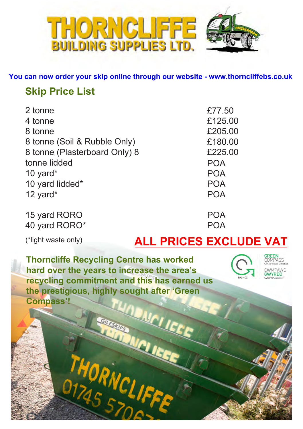

**You can now order your skip online through our website - www.thorncliffebs.co.uk**

# **Skip Price List**

| 2 tonne                       | £77.50     |
|-------------------------------|------------|
| 4 tonne                       | £125.00    |
| 8 tonne                       | £205.00    |
| 8 tonne (Soil & Rubble Only)  | £180.00    |
| 8 tonne (Plasterboard Only) 8 | £225.00    |
| tonne lidded                  | <b>POA</b> |
| 10 yard $*$                   | <b>POA</b> |
| 10 yard lidded*               | <b>POA</b> |
| 12 yard $*$                   | <b>POA</b> |
| 15 yard RORO                  | POA        |
| 40 yard RORO*                 |            |

# (\*light waste only) **ALL PRICES EXCLUDE VAT**

**Thorncliffe Recycling Centre has worked hard over the years to increase the area's recycling commitment and this has earned us the prestigious, highly sought after 'Green Compass'!** INDINCI ICE

ORNCL